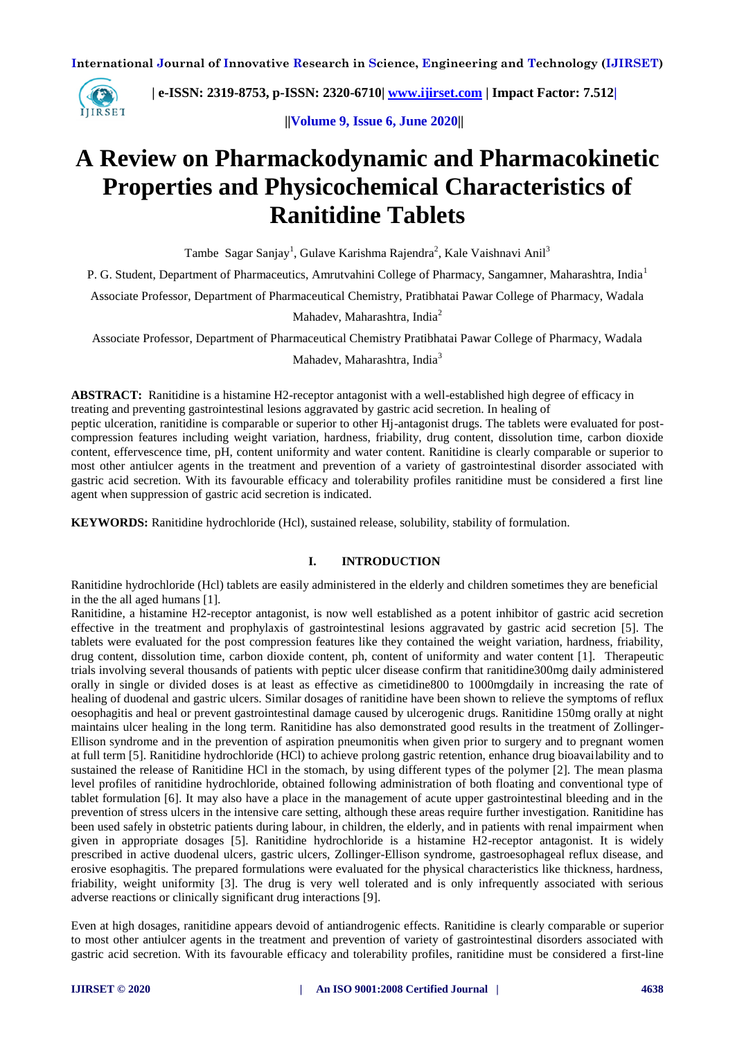

 **| e-ISSN: 2319-8753, p-ISSN: 2320-6710| [www.ijirset.com](http://www.ijirset.com/) | Impact Factor: 7.512|**

 **||Volume 9, Issue 6, June 2020||** 

# **A Review on Pharmackodynamic and Pharmacokinetic Properties and Physicochemical Characteristics of Ranitidine Tablets**

Tambe Sagar Sanjay<sup>1</sup>, Gulave Karishma Rajendra<sup>2</sup>, Kale Vaishnavi Anil<sup>3</sup>

P. G. Student, Department of Pharmaceutics, Amrutvahini College of Pharmacy, Sangamner, Maharashtra, India<sup>1</sup>

Associate Professor, Department of Pharmaceutical Chemistry, Pratibhatai Pawar College of Pharmacy, Wadala

Mahadev, Maharashtra, India<sup>2</sup>

Associate Professor, Department of Pharmaceutical Chemistry Pratibhatai Pawar College of Pharmacy, Wadala

Mahadev, Maharashtra, India<sup>3</sup>

**ABSTRACT:** Ranitidine is a histamine H2-receptor antagonist with a well-established high degree of efficacy in treating and preventing gastrointestinal lesions aggravated by gastric acid secretion. In healing of

peptic ulceration, ranitidine is comparable or superior to other Hj-antagonist drugs. The tablets were evaluated for postcompression features including weight variation, hardness, friability, drug content, dissolution time, carbon dioxide content, effervescence time, pH, content uniformity and water content. Ranitidine is clearly comparable or superior to most other antiulcer agents in the treatment and prevention of a variety of gastrointestinal disorder associated with gastric acid secretion. With its favourable efficacy and tolerability profiles ranitidine must be considered a first line agent when suppression of gastric acid secretion is indicated.

**KEYWORDS:** Ranitidine hydrochloride (Hcl), sustained release, solubility, stability of formulation.

## **I. INTRODUCTION**

Ranitidine hydrochloride (Hcl) tablets are easily administered in the elderly and children sometimes they are beneficial in the the all aged humans [1].

Ranitidine, a histamine H2-receptor antagonist, is now well established as a potent inhibitor of gastric acid secretion effective in the treatment and prophylaxis of gastrointestinal lesions aggravated by gastric acid secretion [5]. The tablets were evaluated for the post compression features like they contained the weight variation, hardness, friability, drug content, dissolution time, carbon dioxide content, ph, content of uniformity and water content [1]. Therapeutic trials involving several thousands of patients with peptic ulcer disease confirm that ranitidine300mg daily administered orally in single or divided doses is at least as effective as cimetidine800 to 1000mgdaily in increasing the rate of healing of duodenal and gastric ulcers. Similar dosages of ranitidine have been shown to relieve the symptoms of reflux oesophagitis and heal or prevent gastrointestinal damage caused by ulcerogenic drugs. Ranitidine 150mg orally at night maintains ulcer healing in the long term. Ranitidine has also demonstrated good results in the treatment of Zollinger-Ellison syndrome and in the prevention of aspiration pneumonitis when given prior to surgery and to pregnant women at full term [5]. Ranitidine hydrochloride (HCl) to achieve prolong gastric retention, enhance drug bioavailability and to sustained the release of Ranitidine HCl in the stomach, by using different types of the polymer [2]. The mean plasma level profiles of ranitidine hydrochloride, obtained following administration of both floating and conventional type of tablet formulation [6]. It may also have a place in the management of acute upper gastrointestinal bleeding and in the prevention of stress ulcers in the intensive care setting, although these areas require further investigation. Ranitidine has been used safely in obstetric patients during labour, in children, the elderly, and in patients with renal impairment when given in appropriate dosages [5]. Ranitidine hydrochloride is a histamine H2-receptor antagonist. It is widely prescribed in active duodenal ulcers, gastric ulcers, Zollinger-Ellison syndrome, gastroesophageal reflux disease, and erosive esophagitis. The prepared formulations were evaluated for the physical characteristics like thickness, hardness, friability, weight uniformity [3]. The drug is very well tolerated and is only infrequently associated with serious adverse reactions or clinically significant drug interactions [9].

Even at high dosages, ranitidine appears devoid of antiandrogenic effects. Ranitidine is clearly comparable or superior to most other antiulcer agents in the treatment and prevention of variety of gastrointestinal disorders associated with gastric acid secretion. With its favourable efficacy and tolerability profiles, ranitidine must be considered a first-line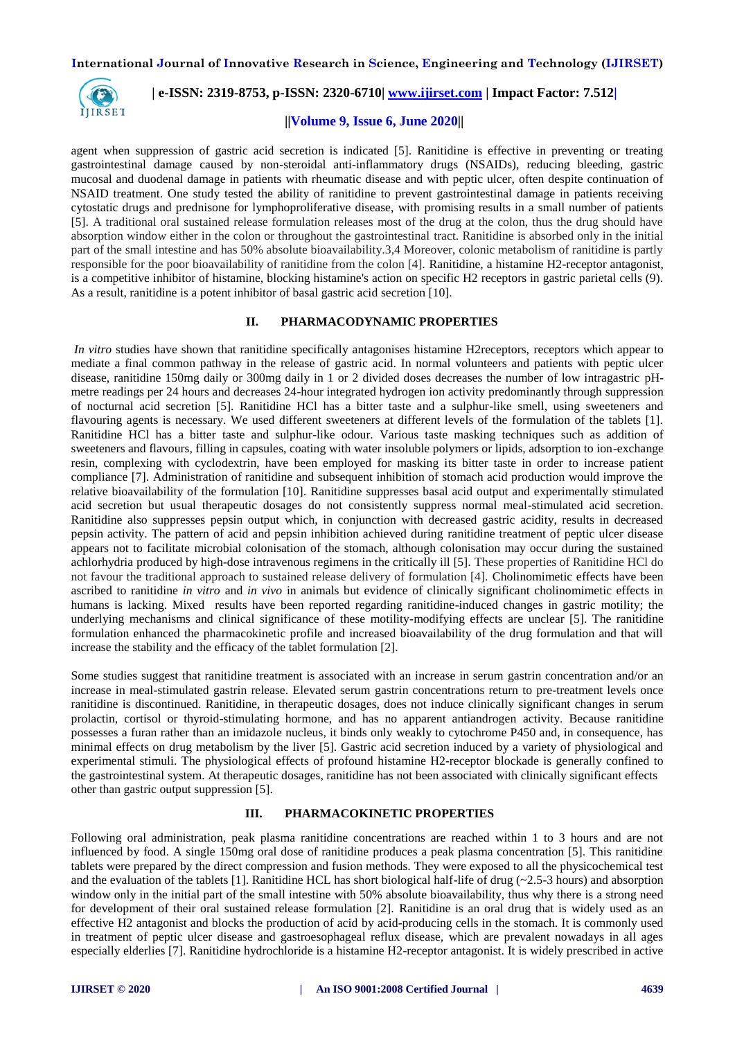

## **| e-ISSN: 2319-8753, p-ISSN: 2320-6710| [www.ijirset.com](http://www.ijirset.com/) | Impact Factor: 7.512|**

#### **||Volume 9, Issue 6, June 2020||**

agent when suppression of gastric acid secretion is indicated [5]. Ranitidine is effective in preventing or treating gastrointestinal damage caused by non-steroidal anti-inflammatory drugs (NSAIDs), reducing bleeding, gastric mucosal and duodenal damage in patients with rheumatic disease and with peptic ulcer, often despite continuation of NSAID treatment. One study tested the ability of ranitidine to prevent gastrointestinal damage in patients receiving cytostatic drugs and prednisone for lymphoproliferative disease, with promising results in a small number of patients [5]. A traditional oral sustained release formulation releases most of the drug at the colon, thus the drug should have absorption window either in the colon or throughout the gastrointestinal tract. Ranitidine is absorbed only in the initial part of the small intestine and has 50% absolute bioavailability.3,4 Moreover, colonic metabolism of ranitidine is partly responsible for the poor bioavailability of ranitidine from the colon [4]. Ranitidine, a histamine H2-receptor antagonist, is a competitive inhibitor of histamine, blocking histamine's action on specific H2 receptors in gastric parietal cells (9). As a result, ranitidine is a potent inhibitor of basal gastric acid secretion [10].

#### **II. PHARMACODYNAMIC PROPERTIES**

*In vitro* studies have shown that ranitidine specifically antagonises histamine H2receptors, receptors which appear to mediate a final common pathway in the release of gastric acid. In normal volunteers and patients with peptic ulcer disease, ranitidine 150mg daily or 300mg daily in 1 or 2 divided doses decreases the number of low intragastric pHmetre readings per 24 hours and decreases 24-hour integrated hydrogen ion activity predominantly through suppression of nocturnal acid secretion [5]. Ranitidine HCl has a bitter taste and a sulphur-like smell, using sweeteners and flavouring agents is necessary. We used different sweeteners at different levels of the formulation of the tablets [1]. Ranitidine HCl has a bitter taste and sulphur-like odour. Various taste masking techniques such as addition of sweeteners and flavours, filling in capsules, coating with water insoluble polymers or lipids, adsorption to ion-exchange resin, complexing with cyclodextrin, have been employed for masking its bitter taste in order to increase patient compliance [7]. Administration of ranitidine and subsequent inhibition of stomach acid production would improve the relative bioavailability of the formulation [10]. Ranitidine suppresses basal acid output and experimentally stimulated acid secretion but usual therapeutic dosages do not consistently suppress normal meal-stimulated acid secretion. Ranitidine also suppresses pepsin output which, in conjunction with decreased gastric acidity, results in decreased pepsin activity. The pattern of acid and pepsin inhibition achieved during ranitidine treatment of peptic ulcer disease appears not to facilitate microbial colonisation of the stomach, although colonisation may occur during the sustained achlorhydria produced by high-dose intravenous regimens in the critically ill [5]. These properties of Ranitidine HCl do not favour the traditional approach to sustained release delivery of formulation [4]. Cholinomimetic effects have been ascribed to ranitidine *in vitro* and *in vivo* in animals but evidence of clinically significant cholinomimetic effects in humans is lacking. Mixed results have been reported regarding ranitidine-induced changes in gastric motility; the underlying mechanisms and clinical significance of these motility-modifying effects are unclear [5]. The ranitidine formulation enhanced the pharmacokinetic profile and increased bioavailability of the drug formulation and that will increase the stability and the efficacy of the tablet formulation [2].

Some studies suggest that ranitidine treatment is associated with an increase in serum gastrin concentration and/or an increase in meal-stimulated gastrin release. Elevated serum gastrin concentrations return to pre-treatment levels once ranitidine is discontinued. Ranitidine, in therapeutic dosages, does not induce clinically significant changes in serum prolactin, cortisol or thyroid-stimulating hormone, and has no apparent antiandrogen activity. Because ranitidine possesses a furan rather than an imidazole nucleus, it binds only weakly to cytochrome P450 and, in consequence, has minimal effects on drug metabolism by the liver [5]. Gastric acid secretion induced by a variety of physiological and experimental stimuli. The physiological effects of profound histamine H2-receptor blockade is generally confined to the gastrointestinal system. At therapeutic dosages, ranitidine has not been associated with clinically significant effects other than gastric output suppression [5].

#### **III. PHARMACOKINETIC PROPERTIES**

Following oral administration, peak plasma ranitidine concentrations are reached within 1 to 3 hours and are not influenced by food. A single 150mg oral dose of ranitidine produces a peak plasma concentration [5]. This ranitidine tablets were prepared by the direct compression and fusion methods. They were exposed to all the physicochemical test and the evaluation of the tablets [1]. Ranitidine HCL has short biological half-life of drug  $(-2.5-3$  hours) and absorption window only in the initial part of the small intestine with 50% absolute bioavailability, thus why there is a strong need for development of their oral sustained release formulation [2]. Ranitidine is an oral drug that is widely used as an effective H2 antagonist and blocks the production of acid by acid-producing cells in the stomach. It is commonly used in treatment of peptic ulcer disease and gastroesophageal reflux disease, which are prevalent nowadays in all ages especially elderlies [7]. Ranitidine hydrochloride is a histamine H2-receptor antagonist. It is widely prescribed in active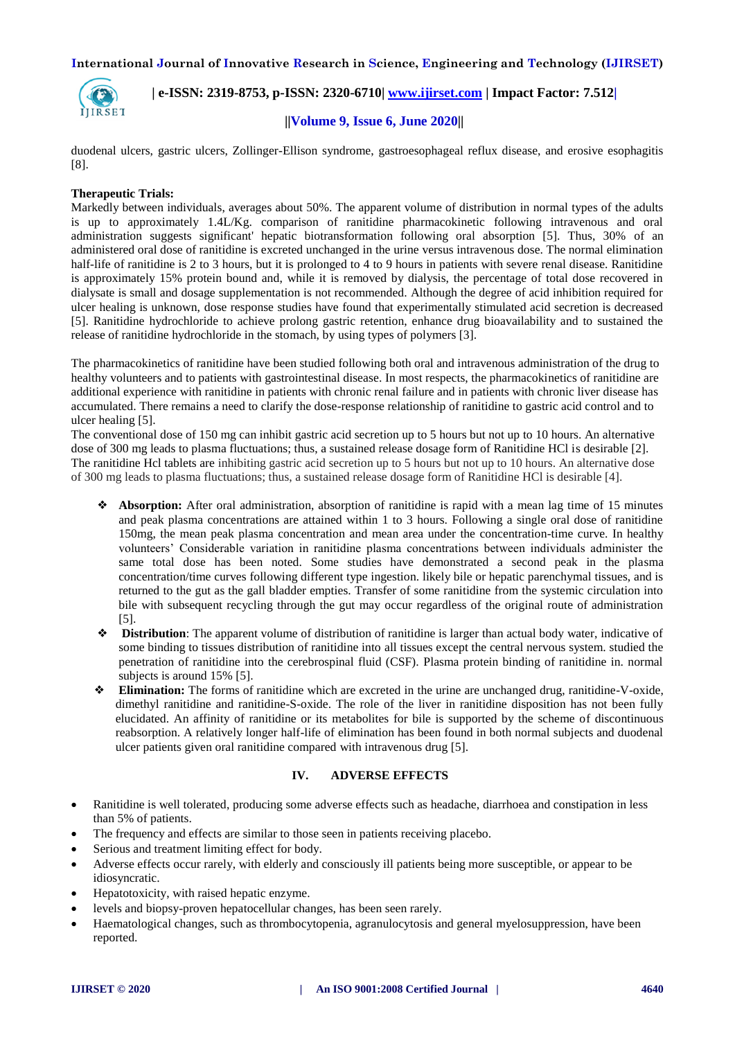

 **| e-ISSN: 2319-8753, p-ISSN: 2320-6710| [www.ijirset.com](http://www.ijirset.com/) | Impact Factor: 7.512|**

## **||Volume 9, Issue 6, June 2020||**

duodenal ulcers, gastric ulcers, Zollinger-Ellison syndrome, gastroesophageal reflux disease, and erosive esophagitis [8].

### **Therapeutic Trials:**

Markedly between individuals, averages about 50%. The apparent volume of distribution in normal types of the adults is up to approximately 1.4L/Kg. comparison of ranitidine pharmacokinetic following intravenous and oral administration suggests significant' hepatic biotransformation following oral absorption [5]. Thus, 30% of an administered oral dose of ranitidine is excreted unchanged in the urine versus intravenous dose. The normal elimination half-life of ranitidine is 2 to 3 hours, but it is prolonged to 4 to 9 hours in patients with severe renal disease. Ranitidine is approximately 15% protein bound and, while it is removed by dialysis, the percentage of total dose recovered in dialysate is small and dosage supplementation is not recommended. Although the degree of acid inhibition required for ulcer healing is unknown, dose response studies have found that experimentally stimulated acid secretion is decreased [5]. Ranitidine hydrochloride to achieve prolong gastric retention, enhance drug bioavailability and to sustained the release of ranitidine hydrochloride in the stomach, by using types of polymers [3].

The pharmacokinetics of ranitidine have been studied following both oral and intravenous administration of the drug to healthy volunteers and to patients with gastrointestinal disease. In most respects, the pharmacokinetics of ranitidine are additional experience with ranitidine in patients with chronic renal failure and in patients with chronic liver disease has accumulated. There remains a need to clarify the dose-response relationship of ranitidine to gastric acid control and to ulcer healing [5].

The conventional dose of 150 mg can inhibit gastric acid secretion up to 5 hours but not up to 10 hours. An alternative dose of 300 mg leads to plasma fluctuations; thus, a sustained release dosage form of Ranitidine HCl is desirable [2]. The ranitidine Hcl tablets are inhibiting gastric acid secretion up to 5 hours but not up to 10 hours. An alternative dose of 300 mg leads to plasma fluctuations; thus, a sustained release dosage form of Ranitidine HCl is desirable [4].

- ❖ **Absorption:** After oral administration, absorption of ranitidine is rapid with a mean lag time of 15 minutes and peak plasma concentrations are attained within 1 to 3 hours. Following a single oral dose of ranitidine 150mg, the mean peak plasma concentration and mean area under the concentration-time curve. In healthy volunteers' Considerable variation in ranitidine plasma concentrations between individuals administer the same total dose has been noted. Some studies have demonstrated a second peak in the plasma concentration/time curves following different type ingestion. likely bile or hepatic parenchymal tissues, and is returned to the gut as the gall bladder empties. Transfer of some ranitidine from the systemic circulation into bile with subsequent recycling through the gut may occur regardless of the original route of administration [5].
- **Distribution**: The apparent volume of distribution of ranitidine is larger than actual body water, indicative of some binding to tissues distribution of ranitidine into all tissues except the central nervous system. studied the penetration of ranitidine into the cerebrospinal fluid (CSF). Plasma protein binding of ranitidine in. normal subjects is around 15% [5].
- **Elimination:** The forms of ranitidine which are excreted in the urine are unchanged drug, ranitidine-V-oxide, dimethyl ranitidine and ranitidine-S-oxide. The role of the liver in ranitidine disposition has not been fully elucidated. An affinity of ranitidine or its metabolites for bile is supported by the scheme of discontinuous reabsorption. A relatively longer half-life of elimination has been found in both normal subjects and duodenal ulcer patients given oral ranitidine compared with intravenous drug [5].

## **IV. ADVERSE EFFECTS**

- Ranitidine is well tolerated, producing some adverse effects such as headache, diarrhoea and constipation in less than 5% of patients.
- The frequency and effects are similar to those seen in patients receiving placebo.
- Serious and treatment limiting effect for body.
- Adverse effects occur rarely, with elderly and consciously ill patients being more susceptible, or appear to be idiosyncratic.
- Hepatotoxicity, with raised hepatic enzyme.
- levels and biopsy-proven hepatocellular changes, has been seen rarely.
- Haematological changes, such as thrombocytopenia, agranulocytosis and general myelosuppression, have been reported.